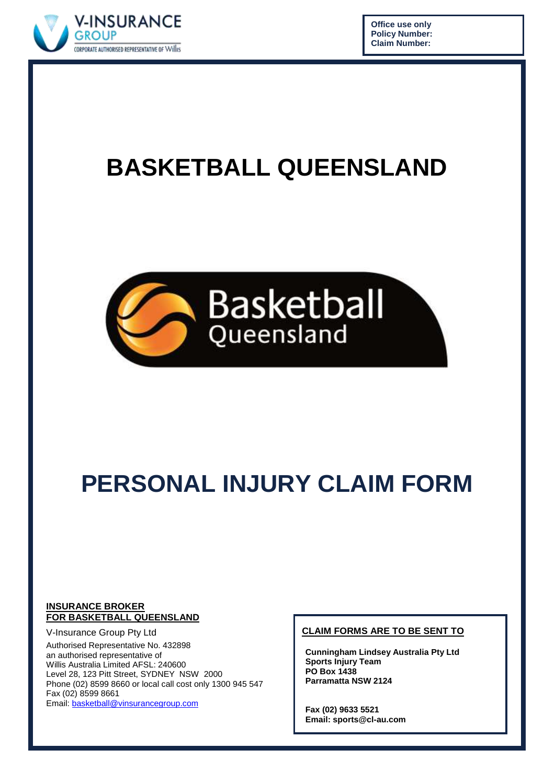

**Office use only Policy Number: Claim Number:**

# **BASKETBALL QUEENSLAND**



# **PERSONAL INJURY CLAIM FORM**

#### **INSURANCE BROKER FOR BASKETBALL QUEENSLAND**

V-Insurance Group Pty Ltd Authorised Representative No. 432898 an authorised representative of Willis Australia Limited AFSL: 240600 Level 28, 123 Pitt Street, SYDNEY NSW 2000 Phone (02) 8599 8660 or local call cost only 1300 945 547 Fax (02) 8599 8661 Email: [basketball@vinsurancegroup.com](mailto:basketball@vinsurancegroup.com)

#### **CLAIM FORMS ARE TO BE SENT TO**

**Cunningham Lindsey Australia Pty Ltd Sports Injury Team PO Box 1438 Parramatta NSW 2124**

**Fax (02) 9633 5521 Email: sports@cl-au.com**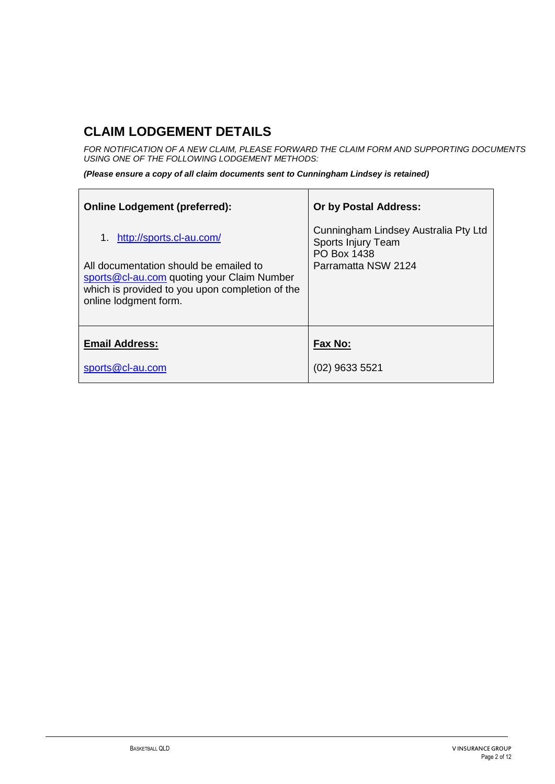# **CLAIM LODGEMENT DETAILS**

 $\mathbf{r}$ 

*FOR NOTIFICATION OF A NEW CLAIM, PLEASE FORWARD THE CLAIM FORM AND SUPPORTING DOCUMENTS USING ONE OF THE FOLLOWING LODGEMENT METHODS:*

*(Please ensure a copy of all claim documents sent to Cunningham Lindsey is retained)*

| <b>Online Lodgement (preferred):</b>                                                                                                                             | <b>Or by Postal Address:</b>                                                     |
|------------------------------------------------------------------------------------------------------------------------------------------------------------------|----------------------------------------------------------------------------------|
| 1. http://sports.cl-au.com/                                                                                                                                      | Cunningham Lindsey Australia Pty Ltd<br>Sports Injury Team<br><b>PO Box 1438</b> |
| All documentation should be emailed to<br>sports@cl-au.com quoting your Claim Number<br>which is provided to you upon completion of the<br>online lodgment form. | Parramatta NSW 2124                                                              |
| <b>Email Address:</b>                                                                                                                                            | Fax No:                                                                          |
| sports@cl-au.com                                                                                                                                                 | $(02)$ 9633 5521                                                                 |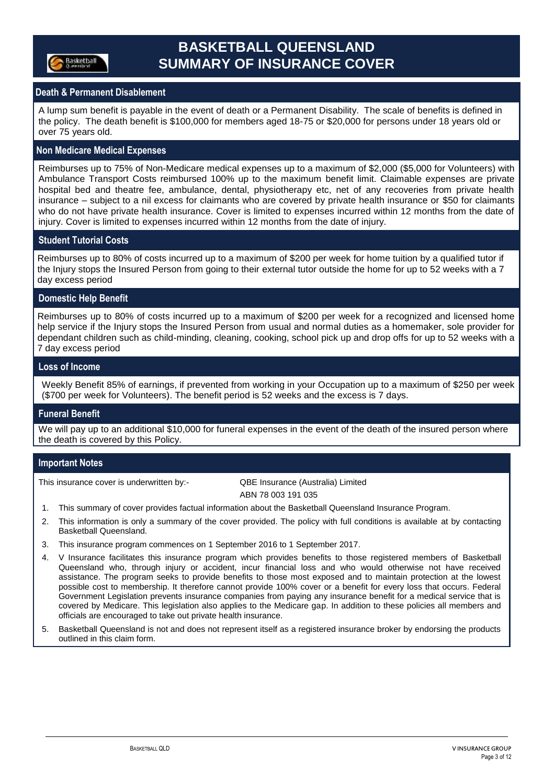

## **BASKETBALL QUEENSLAND SUMMARY OF INSURANCE COVER**

### **Death & Permanent Disablement**

A lump sum benefit is payable in the event of death or a Permanent Disability. The scale of benefits is defined in the policy. The death benefit is \$100,000 for members aged 18-75 or \$20,000 for persons under 18 years old or over 75 years old.

#### **Non Medicare Medical Expenses**

Reimburses up to 75% of Non-Medicare medical expenses up to a maximum of \$2,000 (\$5,000 for Volunteers) with Ambulance Transport Costs reimbursed 100% up to the maximum benefit limit. Claimable expenses are private hospital bed and theatre fee, ambulance, dental, physiotherapy etc, net of any recoveries from private health insurance – subject to a nil excess for claimants who are covered by private health insurance or \$50 for claimants who do not have private health insurance. Cover is limited to expenses incurred within 12 months from the date of injury. Cover is limited to expenses incurred within 12 months from the date of injury.

#### **Student Tutorial Costs**

Reimburses up to 80% of costs incurred up to a maximum of \$200 per week for home tuition by a qualified tutor if the Injury stops the Insured Person from going to their external tutor outside the home for up to 52 weeks with a 7 day excess period

#### **Domestic Help Benefit**

Reimburses up to 80% of costs incurred up to a maximum of \$200 per week for a recognized and licensed home help service if the Injury stops the Insured Person from usual and normal duties as a homemaker, sole provider for dependant children such as child-minding, cleaning, cooking, school pick up and drop offs for up to 52 weeks with a 7 day excess period

#### **Loss of Income**

Weekly Benefit 85% of earnings, if prevented from working in your Occupation up to a maximum of \$250 per week (\$700 per week for Volunteers). The benefit period is 52 weeks and the excess is 7 days.

#### **Funeral Benefit**

We will pay up to an additional \$10,000 for funeral expenses in the event of the death of the insured person where the death is covered by this Policy.

#### **Important Notes**

This insurance cover is underwritten by:- QBE Insurance (Australia) Limited

ABN 78 003 191 035

- 1. This summary of cover provides factual information about the Basketball Queensland Insurance Program.
- 2. This information is only a summary of the cover provided. The policy with full conditions is available at by contacting Basketball Queensland.
- 3. This insurance program commences on 1 September 2016 to 1 September 2017.
- 4. V Insurance facilitates this insurance program which provides benefits to those registered members of Basketball Queensland who, through injury or accident, incur financial loss and who would otherwise not have received assistance. The program seeks to provide benefits to those most exposed and to maintain protection at the lowest possible cost to membership. It therefore cannot provide 100% cover or a benefit for every loss that occurs. Federal Government Legislation prevents insurance companies from paying any insurance benefit for a medical service that is covered by Medicare. This legislation also applies to the Medicare gap. In addition to these policies all members and officials are encouraged to take out private health insurance.
- 5. Basketball Queensland is not and does not represent itself as a registered insurance broker by endorsing the products outlined in this claim form.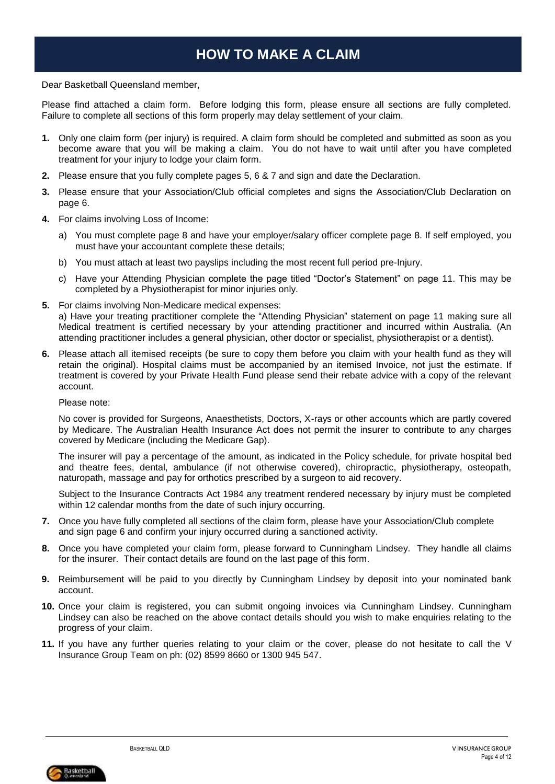## **HOW TO MAKE A CLAIM**

Dear Basketball Queensland member,

Please find attached a claim form. Before lodging this form, please ensure all sections are fully completed. Failure to complete all sections of this form properly may delay settlement of your claim.

- **1.** Only one claim form (per injury) is required. A claim form should be completed and submitted as soon as you become aware that you will be making a claim. You do not have to wait until after you have completed treatment for your injury to lodge your claim form.
- **2.** Please ensure that you fully complete pages 5, 6 & 7 and sign and date the Declaration.
- **3.** Please ensure that your Association/Club official completes and signs the Association/Club Declaration on page 6.
- **4.** For claims involving Loss of Income:
	- a) You must complete page 8 and have your employer/salary officer complete page 8. If self employed, you must have your accountant complete these details;
	- b) You must attach at least two payslips including the most recent full period pre-Injury.
	- c) Have your Attending Physician complete the page titled "Doctor's Statement" on page 11. This may be completed by a Physiotherapist for minor injuries only.
- **5.** For claims involving Non-Medicare medical expenses: a) Have your treating practitioner complete the "Attending Physician" statement on page 11 making sure all Medical treatment is certified necessary by your attending practitioner and incurred within Australia. (An attending practitioner includes a general physician, other doctor or specialist, physiotherapist or a dentist).
- **6.** Please attach all itemised receipts (be sure to copy them before you claim with your health fund as they will retain the original). Hospital claims must be accompanied by an itemised Invoice, not just the estimate. If treatment is covered by your Private Health Fund please send their rebate advice with a copy of the relevant account.

Please note:

No cover is provided for Surgeons, Anaesthetists, Doctors, X-rays or other accounts which are partly covered by Medicare. The Australian Health Insurance Act does not permit the insurer to contribute to any charges covered by Medicare (including the Medicare Gap).

The insurer will pay a percentage of the amount, as indicated in the Policy schedule, for private hospital bed and theatre fees, dental, ambulance (if not otherwise covered), chiropractic, physiotherapy, osteopath, naturopath, massage and pay for orthotics prescribed by a surgeon to aid recovery.

Subject to the Insurance Contracts Act 1984 any treatment rendered necessary by injury must be completed within 12 calendar months from the date of such injury occurring.

- **7.** Once you have fully completed all sections of the claim form, please have your Association/Club complete and sign page 6 and confirm your injury occurred during a sanctioned activity.
- **8.** Once you have completed your claim form, please forward to Cunningham Lindsey. They handle all claims for the insurer. Their contact details are found on the last page of this form.
- **9.** Reimbursement will be paid to you directly by Cunningham Lindsey by deposit into your nominated bank account.
- **10.** Once your claim is registered, you can submit ongoing invoices via Cunningham Lindsey. Cunningham Lindsey can also be reached on the above contact details should you wish to make enquiries relating to the progress of your claim.
- **11.** If you have any further queries relating to your claim or the cover, please do not hesitate to call the V Insurance Group Team on ph: (02) 8599 8660 or 1300 945 547.

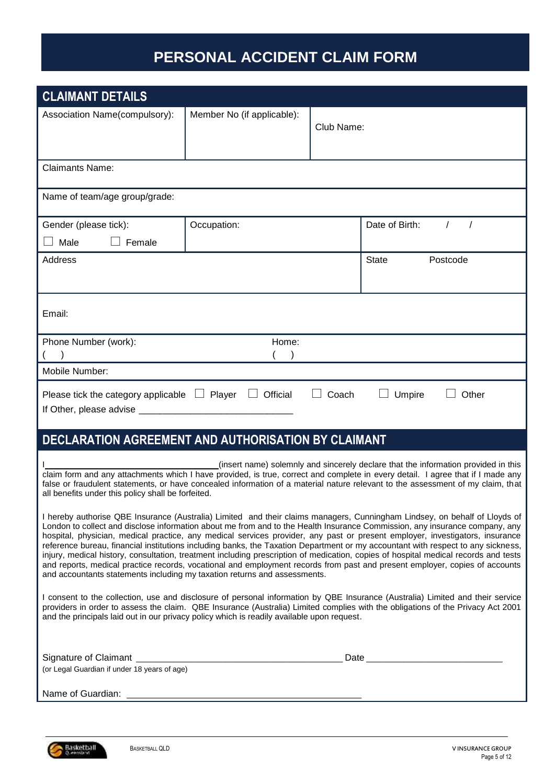# **PERSONAL ACCIDENT CLAIM FORM**

| <b>CLAIMANT DETAILS</b>                                                                    |                                                   |            |                                                                                                                                                                                                                                                                                                                                                                                                                                                                                                                                                                                                                                                                                                                                                                                                     |
|--------------------------------------------------------------------------------------------|---------------------------------------------------|------------|-----------------------------------------------------------------------------------------------------------------------------------------------------------------------------------------------------------------------------------------------------------------------------------------------------------------------------------------------------------------------------------------------------------------------------------------------------------------------------------------------------------------------------------------------------------------------------------------------------------------------------------------------------------------------------------------------------------------------------------------------------------------------------------------------------|
| Association Name(compulsory):                                                              | Member No (if applicable):                        | Club Name: |                                                                                                                                                                                                                                                                                                                                                                                                                                                                                                                                                                                                                                                                                                                                                                                                     |
| <b>Claimants Name:</b>                                                                     |                                                   |            |                                                                                                                                                                                                                                                                                                                                                                                                                                                                                                                                                                                                                                                                                                                                                                                                     |
| Name of team/age group/grade:                                                              |                                                   |            |                                                                                                                                                                                                                                                                                                                                                                                                                                                                                                                                                                                                                                                                                                                                                                                                     |
| Gender (please tick):<br>Male<br>Female                                                    | Occupation:                                       |            | Date of Birth:<br>$\prime$                                                                                                                                                                                                                                                                                                                                                                                                                                                                                                                                                                                                                                                                                                                                                                          |
| Address                                                                                    |                                                   |            | <b>State</b><br>Postcode                                                                                                                                                                                                                                                                                                                                                                                                                                                                                                                                                                                                                                                                                                                                                                            |
| Email:                                                                                     |                                                   |            |                                                                                                                                                                                                                                                                                                                                                                                                                                                                                                                                                                                                                                                                                                                                                                                                     |
| Phone Number (work):                                                                       | Home:                                             |            |                                                                                                                                                                                                                                                                                                                                                                                                                                                                                                                                                                                                                                                                                                                                                                                                     |
| Mobile Number:                                                                             |                                                   |            |                                                                                                                                                                                                                                                                                                                                                                                                                                                                                                                                                                                                                                                                                                                                                                                                     |
| Please tick the category applicable $\Box$ Player<br>If Other, please advise __________    | $\begin{array}{c} \hline \end{array}$<br>Official | Coach      | Umpire<br>Other                                                                                                                                                                                                                                                                                                                                                                                                                                                                                                                                                                                                                                                                                                                                                                                     |
| DECLARATION AGREEMENT AND AUTHORISATION BY CLAIMANT                                        |                                                   |            |                                                                                                                                                                                                                                                                                                                                                                                                                                                                                                                                                                                                                                                                                                                                                                                                     |
| all benefits under this policy shall be forfeited.                                         |                                                   |            | (insert name) solemnly and sincerely declare that the information provided in this<br>claim form and any attachments which I have provided, is true, correct and complete in every detail. I agree that if I made any<br>false or fraudulent statements, or have concealed information of a material nature relevant to the assessment of my claim, that                                                                                                                                                                                                                                                                                                                                                                                                                                            |
| and accountants statements including my taxation returns and assessments.                  |                                                   |            | I hereby authorise QBE Insurance (Australia) Limited and their claims managers, Cunningham Lindsey, on behalf of Lloyds of<br>London to collect and disclose information about me from and to the Health Insurance Commission, any insurance company, any<br>hospital, physician, medical practice, any medical services provider, any past or present employer, investigators, insurance<br>reference bureau, financial institutions including banks, the Taxation Department or my accountant with respect to any sickness,<br>injury, medical history, consultation, treatment including prescription of medication, copies of hospital medical records and tests<br>and reports, medical practice records, vocational and employment records from past and present employer, copies of accounts |
| and the principals laid out in our privacy policy which is readily available upon request. |                                                   |            | I consent to the collection, use and disclosure of personal information by QBE Insurance (Australia) Limited and their service<br>providers in order to assess the claim. QBE Insurance (Australia) Limited complies with the obligations of the Privacy Act 2001                                                                                                                                                                                                                                                                                                                                                                                                                                                                                                                                   |
| (or Legal Guardian if under 18 years of age)                                               |                                                   |            |                                                                                                                                                                                                                                                                                                                                                                                                                                                                                                                                                                                                                                                                                                                                                                                                     |
| Name of Guardian:                                                                          |                                                   |            |                                                                                                                                                                                                                                                                                                                                                                                                                                                                                                                                                                                                                                                                                                                                                                                                     |

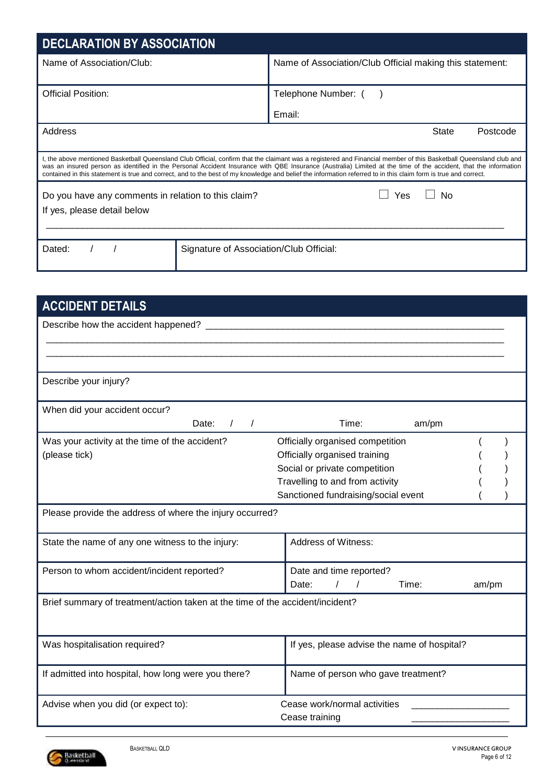| <b>DECLARATION BY ASSOCIATION</b>                                                                                                                               |                                                                                                                                                                                                                                                                                                                                       |
|-----------------------------------------------------------------------------------------------------------------------------------------------------------------|---------------------------------------------------------------------------------------------------------------------------------------------------------------------------------------------------------------------------------------------------------------------------------------------------------------------------------------|
| Name of Association/Club:                                                                                                                                       | Name of Association/Club Official making this statement:                                                                                                                                                                                                                                                                              |
| <b>Official Position:</b>                                                                                                                                       | Telephone Number: (                                                                                                                                                                                                                                                                                                                   |
|                                                                                                                                                                 | Email:                                                                                                                                                                                                                                                                                                                                |
| Address                                                                                                                                                         | <b>State</b><br>Postcode                                                                                                                                                                                                                                                                                                              |
| contained in this statement is true and correct, and to the best of my knowledge and belief the information referred to in this claim form is true and correct. | I, the above mentioned Basketball Queensland Club Official, confirm that the claimant was a registered and Financial member of this Basketball Queensland club and<br>was an insured person as identified in the Personal Accident Insurance with QBE Insurance (Australia) Limited at the time of the accident, that the information |
| Do you have any comments in relation to this claim?<br>If yes, please detail below                                                                              | No<br>Yes                                                                                                                                                                                                                                                                                                                             |
| Dated:<br>Signature of Association/Club Official:                                                                                                               |                                                                                                                                                                                                                                                                                                                                       |

| <b>ACCIDENT DETAILS</b>                                                       |                                                |       |
|-------------------------------------------------------------------------------|------------------------------------------------|-------|
| Describe how the accident happened?                                           |                                                |       |
|                                                                               |                                                |       |
|                                                                               |                                                |       |
| Describe your injury?                                                         |                                                |       |
| When did your accident occur?                                                 |                                                |       |
| Date:<br>$\sqrt{2}$<br>$\prime$                                               | Time:<br>am/pm                                 |       |
| Was your activity at the time of the accident?                                | Officially organised competition               |       |
| (please tick)                                                                 | Officially organised training                  |       |
|                                                                               | Social or private competition                  |       |
|                                                                               | Travelling to and from activity                |       |
|                                                                               | Sanctioned fundraising/social event            |       |
| Please provide the address of where the injury occurred?                      |                                                |       |
| State the name of any one witness to the injury:                              | Address of Witness:                            |       |
| Person to whom accident/incident reported?                                    | Date and time reported?                        |       |
|                                                                               | Date:<br>$\prime$<br>Time:                     | am/pm |
| Brief summary of treatment/action taken at the time of the accident/incident? |                                                |       |
|                                                                               |                                                |       |
| Was hospitalisation required?                                                 | If yes, please advise the name of hospital?    |       |
| If admitted into hospital, how long were you there?                           | Name of person who gave treatment?             |       |
| Advise when you did (or expect to):                                           | Cease work/normal activities<br>Cease training |       |

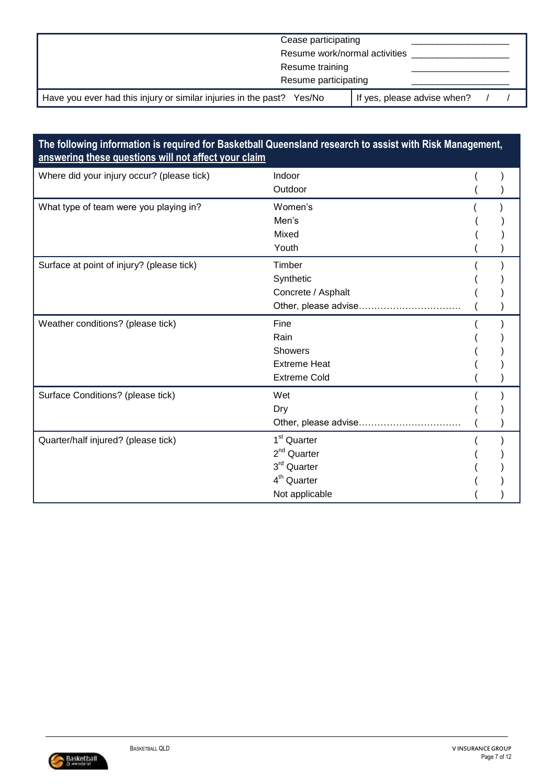| Cease participating                                                      |                             |
|--------------------------------------------------------------------------|-----------------------------|
| Resume work/normal activities                                            |                             |
| Resume training                                                          |                             |
| Resume participating                                                     |                             |
| Have you ever had this injury or similar injuries in the past?<br>Yes/No | If yes, please advise when? |

## **The following information is required for Basketball Queensland research to assist with Risk Management, answering these questions will not affect your claim**

| Where did your injury occur? (please tick) | Indoor                  |  |
|--------------------------------------------|-------------------------|--|
|                                            | Outdoor                 |  |
| What type of team were you playing in?     | Women's                 |  |
|                                            | Men's                   |  |
|                                            | Mixed                   |  |
|                                            | Youth                   |  |
| Surface at point of injury? (please tick)  | Timber                  |  |
|                                            | Synthetic               |  |
|                                            | Concrete / Asphalt      |  |
|                                            | Other, please advise    |  |
| Weather conditions? (please tick)          | Fine                    |  |
|                                            | Rain                    |  |
|                                            | <b>Showers</b>          |  |
|                                            | <b>Extreme Heat</b>     |  |
|                                            | <b>Extreme Cold</b>     |  |
| Surface Conditions? (please tick)          | Wet                     |  |
|                                            | Dry                     |  |
|                                            | Other, please advise    |  |
| Quarter/half injured? (please tick)        | 1 <sup>st</sup> Quarter |  |
|                                            | $2nd$ Quarter           |  |
|                                            | 3rd Quarter             |  |
|                                            | 4 <sup>th</sup> Quarter |  |
|                                            | Not applicable          |  |

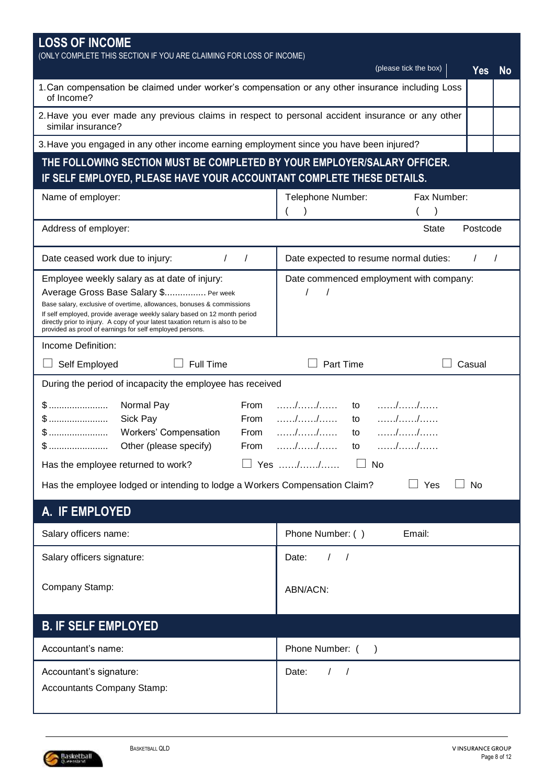| <b>LOSS OF INCOME</b><br>(ONLY COMPLETE THIS SECTION IF YOU ARE CLAIMING FOR LOSS OF INCOME)                                                                                                                                                                                                                                                                                            | (please tick the box)<br><b>Yes</b><br><b>No</b> |
|-----------------------------------------------------------------------------------------------------------------------------------------------------------------------------------------------------------------------------------------------------------------------------------------------------------------------------------------------------------------------------------------|--------------------------------------------------|
| 1. Can compensation be claimed under worker's compensation or any other insurance including Loss<br>of Income?                                                                                                                                                                                                                                                                          |                                                  |
| 2. Have you ever made any previous claims in respect to personal accident insurance or any other<br>similar insurance?                                                                                                                                                                                                                                                                  |                                                  |
| 3. Have you engaged in any other income earning employment since you have been injured?                                                                                                                                                                                                                                                                                                 |                                                  |
| THE FOLLOWING SECTION MUST BE COMPLETED BY YOUR EMPLOYER/SALARY OFFICER.<br>IF SELF EMPLOYED, PLEASE HAVE YOUR ACCOUNTANT COMPLETE THESE DETAILS.                                                                                                                                                                                                                                       |                                                  |
| Name of employer:                                                                                                                                                                                                                                                                                                                                                                       | Fax Number:<br>Telephone Number:                 |
| Address of employer:                                                                                                                                                                                                                                                                                                                                                                    | <b>State</b><br>Postcode                         |
| Date ceased work due to injury:<br>$\sqrt{2}$<br>$\prime$                                                                                                                                                                                                                                                                                                                               | Date expected to resume normal duties:           |
| Employee weekly salary as at date of injury:<br>Average Gross Base Salary \$ Per week<br>Base salary, exclusive of overtime, allowances, bonuses & commissions<br>If self employed, provide average weekly salary based on 12 month period<br>directly prior to injury. A copy of your latest taxation return is also to be<br>provided as proof of earnings for self employed persons. | Date commenced employment with company:          |
| Income Definition:                                                                                                                                                                                                                                                                                                                                                                      |                                                  |
| Self Employed<br><b>Full Time</b>                                                                                                                                                                                                                                                                                                                                                       | Part Time<br>Casual                              |
| During the period of incapacity the employee has received                                                                                                                                                                                                                                                                                                                               |                                                  |
| $$$<br>Normal Pay<br>From<br>$$$<br>Sick Pay<br>From<br>Workers' Compensation<br>$$$<br>From<br>$$\mathbb{S}\text{}{\text{}}$<br>Other (please specify)<br>From                                                                                                                                                                                                                         | to<br>to<br>to<br>to                             |
| Has the employee returned to work?                                                                                                                                                                                                                                                                                                                                                      | Yes //<br>No                                     |
| Has the employee lodged or intending to lodge a Workers Compensation Claim?                                                                                                                                                                                                                                                                                                             | Yes<br><b>No</b>                                 |
| A. IF EMPLOYED                                                                                                                                                                                                                                                                                                                                                                          |                                                  |
| Salary officers name:                                                                                                                                                                                                                                                                                                                                                                   | Phone Number: ()<br>Email:                       |
| Salary officers signature:                                                                                                                                                                                                                                                                                                                                                              | Date:<br>$\prime$<br>$\sqrt{ }$                  |
| Company Stamp:                                                                                                                                                                                                                                                                                                                                                                          | ABN/ACN:                                         |
| <b>B. IF SELF EMPLOYED</b>                                                                                                                                                                                                                                                                                                                                                              |                                                  |
| Accountant's name:                                                                                                                                                                                                                                                                                                                                                                      | Phone Number: (                                  |
| Accountant's signature:<br>Accountants Company Stamp:                                                                                                                                                                                                                                                                                                                                   | Date:<br>$\sqrt{2}$<br>$\prime$                  |

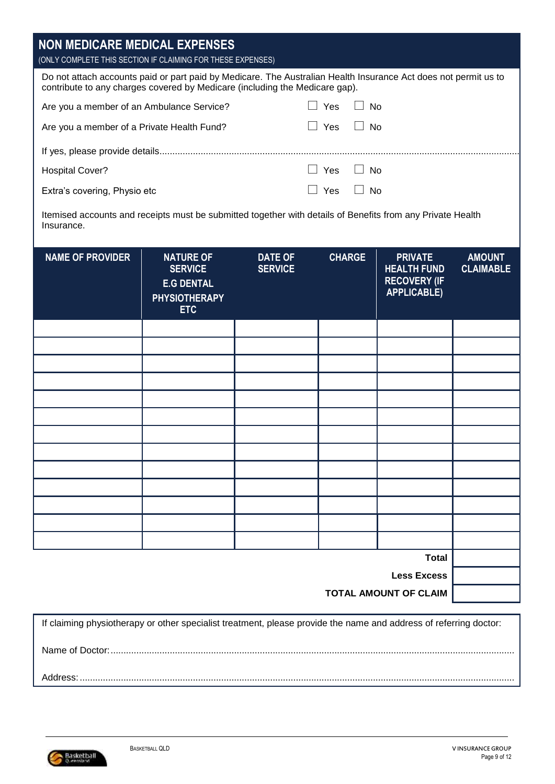| <b>NON MEDICARE MEDICAL EXPENSES</b>                                                                                                                                                           |                                                                                               |                                  |                                           |                                                                                   |                                   |
|------------------------------------------------------------------------------------------------------------------------------------------------------------------------------------------------|-----------------------------------------------------------------------------------------------|----------------------------------|-------------------------------------------|-----------------------------------------------------------------------------------|-----------------------------------|
| (ONLY COMPLETE THIS SECTION IF CLAIMING FOR THESE EXPENSES)                                                                                                                                    |                                                                                               |                                  |                                           |                                                                                   |                                   |
| Do not attach accounts paid or part paid by Medicare. The Australian Health Insurance Act does not permit us to<br>contribute to any charges covered by Medicare (including the Medicare gap). |                                                                                               |                                  |                                           |                                                                                   |                                   |
| Are you a member of an Ambulance Service?                                                                                                                                                      |                                                                                               |                                  | $\Box$ Yes<br>$\blacksquare$<br><b>No</b> |                                                                                   |                                   |
| Are you a member of a Private Health Fund?                                                                                                                                                     |                                                                                               |                                  | Yes<br><b>No</b>                          |                                                                                   |                                   |
|                                                                                                                                                                                                |                                                                                               |                                  |                                           |                                                                                   |                                   |
| <b>Hospital Cover?</b>                                                                                                                                                                         |                                                                                               |                                  | $\Box$ Yes<br>$\Box$ No                   |                                                                                   |                                   |
| Extra's covering, Physio etc                                                                                                                                                                   |                                                                                               |                                  | Yes<br>No                                 |                                                                                   |                                   |
| Itemised accounts and receipts must be submitted together with details of Benefits from any Private Health<br>Insurance.                                                                       |                                                                                               |                                  |                                           |                                                                                   |                                   |
| <b>NAME OF PROVIDER</b>                                                                                                                                                                        | <b>NATURE OF</b><br><b>SERVICE</b><br><b>E.G DENTAL</b><br><b>PHYSIOTHERAPY</b><br><b>ETC</b> | <b>DATE OF</b><br><b>SERVICE</b> | <b>CHARGE</b>                             | <b>PRIVATE</b><br><b>HEALTH FUND</b><br><b>RECOVERY (IF</b><br><b>APPLICABLE)</b> | <b>AMOUNT</b><br><b>CLAIMABLE</b> |
|                                                                                                                                                                                                |                                                                                               |                                  |                                           |                                                                                   |                                   |
|                                                                                                                                                                                                |                                                                                               |                                  |                                           |                                                                                   |                                   |
|                                                                                                                                                                                                |                                                                                               |                                  |                                           |                                                                                   |                                   |
|                                                                                                                                                                                                |                                                                                               |                                  |                                           |                                                                                   |                                   |
|                                                                                                                                                                                                |                                                                                               |                                  |                                           |                                                                                   |                                   |
|                                                                                                                                                                                                |                                                                                               |                                  |                                           |                                                                                   |                                   |
|                                                                                                                                                                                                |                                                                                               |                                  |                                           |                                                                                   |                                   |
|                                                                                                                                                                                                |                                                                                               |                                  |                                           |                                                                                   |                                   |
|                                                                                                                                                                                                |                                                                                               |                                  |                                           |                                                                                   |                                   |
|                                                                                                                                                                                                |                                                                                               |                                  |                                           |                                                                                   |                                   |
|                                                                                                                                                                                                |                                                                                               |                                  |                                           |                                                                                   |                                   |
|                                                                                                                                                                                                |                                                                                               |                                  |                                           |                                                                                   |                                   |
|                                                                                                                                                                                                |                                                                                               |                                  |                                           | <b>Total</b>                                                                      |                                   |
|                                                                                                                                                                                                |                                                                                               |                                  |                                           | <b>Less Excess</b>                                                                |                                   |
|                                                                                                                                                                                                |                                                                                               |                                  |                                           | <b>TOTAL AMOUNT OF CLAIM</b>                                                      |                                   |

If claiming physiotherapy or other specialist treatment, please provide the name and address of referring doctor: Name of Doctor:............................................................................................................................................................. Address:.........................................................................................................................................................................

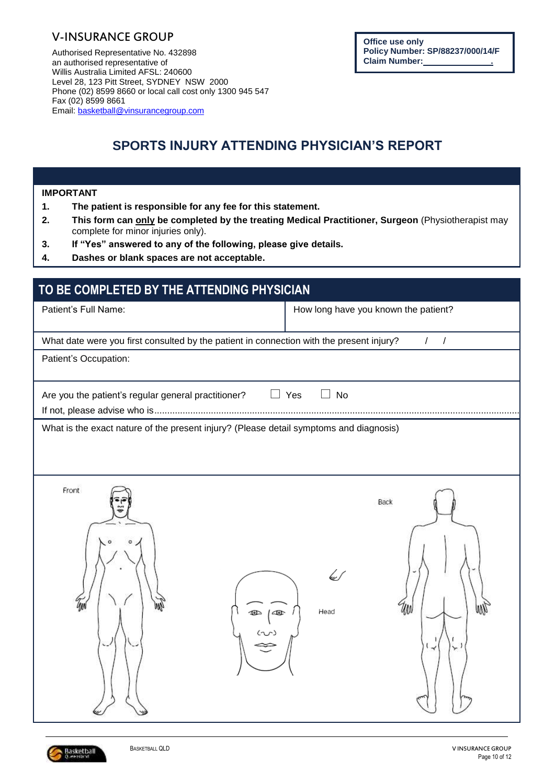### V-INSURANCE GROUP

Authorised Representative No. 432898 an authorised representative of Willis Australia Limited AFSL: 240600 Level 28, 123 Pitt Street, SYDNEY NSW 2000 Phone (02) 8599 8660 or local call cost only 1300 945 547 Fax (02) 8599 8661 Email: [basketball@vinsurancegroup.com](mailto:basketball@vinsurancegroup.com)

# **SPORTS INJURY ATTENDING PHYSICIAN'S REPORT**

#### **IMPORTANT**

- **1. The patient is responsible for any fee for this statement.**
- **2. This form can only be completed by the treating Medical Practitioner, Surgeon** (Physiotherapist may complete for minor injuries only).
- **3. If "Yes" answered to any of the following, please give details.**
- **4. Dashes or blank spaces are not acceptable.**

| TO BE COMPLETED BY THE ATTENDING PHYSICIAN                                                                                                                                                                                                                                                                                                      |                                      |
|-------------------------------------------------------------------------------------------------------------------------------------------------------------------------------------------------------------------------------------------------------------------------------------------------------------------------------------------------|--------------------------------------|
| Patient's Full Name:                                                                                                                                                                                                                                                                                                                            | How long have you known the patient? |
| What date were you first consulted by the patient in connection with the present injury?                                                                                                                                                                                                                                                        | $\sqrt{ }$<br>$\sqrt{2}$             |
| Patient's Occupation:                                                                                                                                                                                                                                                                                                                           |                                      |
| Are you the patient's regular general practitioner?                                                                                                                                                                                                                                                                                             | Yes<br><b>No</b>                     |
| What is the exact nature of the present injury? (Please detail symptoms and diagnosis)                                                                                                                                                                                                                                                          |                                      |
| Front<br>$\begin{picture}(180,10) \put(150,10){\line(1,0){10}} \put(150,10){\line(1,0){10}} \put(150,10){\line(1,0){10}} \put(150,10){\line(1,0){10}} \put(150,10){\line(1,0){10}} \put(150,10){\line(1,0){10}} \put(150,10){\line(1,0){10}} \put(150,10){\line(1,0){10}} \put(150,10){\line(1,0){10}} \put(150,10){\line(1,0){10}} \put(150,1$ | Back<br>₩<br>MN<br>Head<br>لیو       |

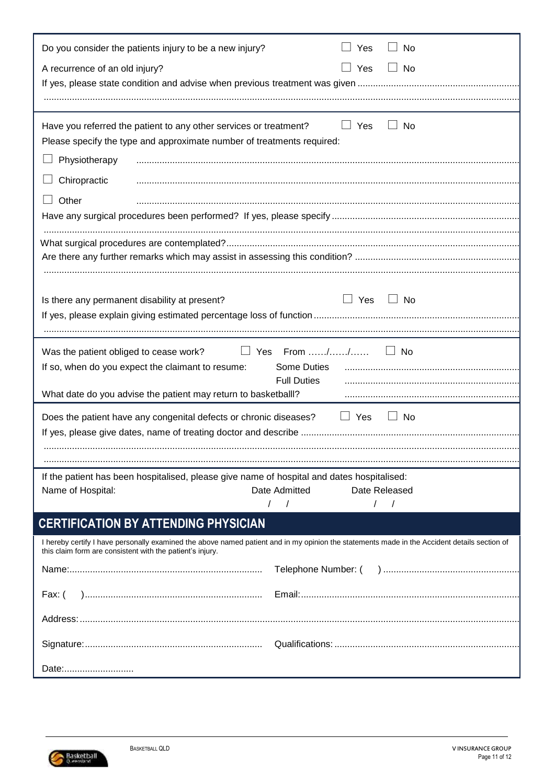| Do you consider the patients injury to be a new injury?                                    | Yes<br>No                                                                                                                                    |
|--------------------------------------------------------------------------------------------|----------------------------------------------------------------------------------------------------------------------------------------------|
| A recurrence of an old injury?                                                             | $\Box$ Yes<br>$\Box$ No                                                                                                                      |
|                                                                                            |                                                                                                                                              |
|                                                                                            |                                                                                                                                              |
|                                                                                            |                                                                                                                                              |
| Have you referred the patient to any other services or treatment?                          | $\Box$ Yes<br>No                                                                                                                             |
| Please specify the type and approximate number of treatments required:                     |                                                                                                                                              |
| Physiotherapy                                                                              |                                                                                                                                              |
| Chiropractic                                                                               |                                                                                                                                              |
| Other                                                                                      |                                                                                                                                              |
|                                                                                            |                                                                                                                                              |
|                                                                                            |                                                                                                                                              |
|                                                                                            |                                                                                                                                              |
|                                                                                            |                                                                                                                                              |
|                                                                                            |                                                                                                                                              |
|                                                                                            |                                                                                                                                              |
| Is there any permanent disability at present?                                              | $\Box$ Yes<br>$\Box$ No                                                                                                                      |
|                                                                                            |                                                                                                                                              |
|                                                                                            |                                                                                                                                              |
| Was the patient obliged to cease work? $\Box$ Yes From //                                  | $\Box$ No                                                                                                                                    |
| If so, when do you expect the claimant to resume:                                          | Some Duties                                                                                                                                  |
|                                                                                            | <b>Full Duties</b>                                                                                                                           |
| What date do you advise the patient may return to basketball!?                             |                                                                                                                                              |
| Does the patient have any congenital defects or chronic diseases?                          | $\Box$ Yes<br>$\Box$ No                                                                                                                      |
|                                                                                            |                                                                                                                                              |
|                                                                                            |                                                                                                                                              |
|                                                                                            |                                                                                                                                              |
| If the patient has been hospitalised, please give name of hospital and dates hospitalised: |                                                                                                                                              |
| Name of Hospital:                                                                          | Date Admitted<br>Date Released                                                                                                               |
|                                                                                            | $\sqrt{ }$                                                                                                                                   |
| <b>CERTIFICATION BY ATTENDING PHYSICIAN</b>                                                |                                                                                                                                              |
| this claim form are consistent with the patient's injury.                                  | I hereby certify I have personally examined the above named patient and in my opinion the statements made in the Accident details section of |
|                                                                                            |                                                                                                                                              |
|                                                                                            |                                                                                                                                              |
| Fax: (                                                                                     |                                                                                                                                              |
|                                                                                            |                                                                                                                                              |
|                                                                                            |                                                                                                                                              |
|                                                                                            |                                                                                                                                              |
| Date:                                                                                      |                                                                                                                                              |